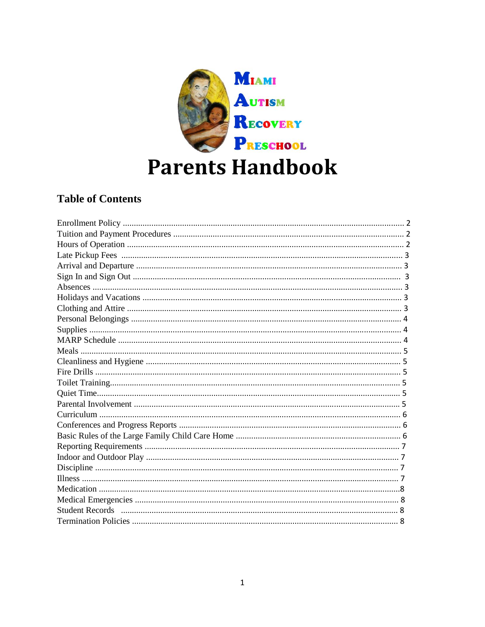

# **Parents Handbook**

## **Table of Contents**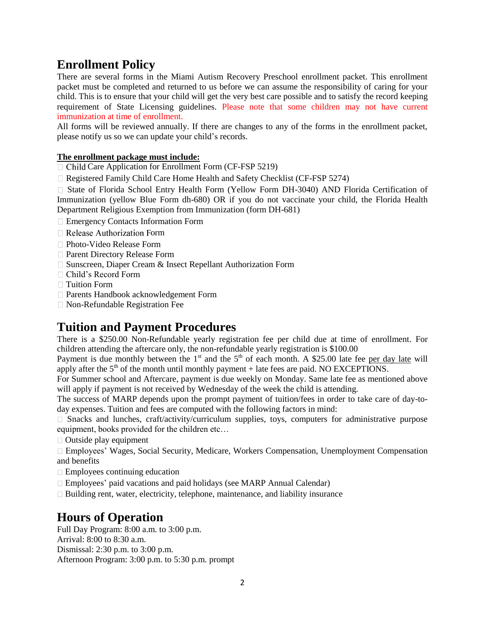## **Enrollment Policy**

There are several forms in the Miami Autism Recovery Preschool enrollment packet. This enrollment packet must be completed and returned to us before we can assume the responsibility of caring for your child. This is to ensure that your child will get the very best care possible and to satisfy the record keeping requirement of State Licensing guidelines. Please note that some children may not have current immunization at time of enrollment.

All forms will be reviewed annually. If there are changes to any of the forms in the enrollment packet, please notify us so we can update your child's records.

#### **The enrollment package must include:**

 $\Box$  Child Care Application for Enrollment Form (CF-FSP 5219)

Registered Family Child Care Home Health and Safety Checklist (CF-FSP 5274)

State of Florida School Entry Health Form (Yellow Form DH-3040) AND Florida Certification of Immunization (yellow Blue Form dh-680) OR if you do not vaccinate your child, the Florida Health Department Religious Exemption from Immunization (form DH-681)

- □ Emergency Contacts Information Form
- $\Box$  Release Authorization Form
- □ Photo-Video Release Form
- □ Parent Directory Release Form
- □ Sunscreen, Diaper Cream & Insect Repellant Authorization Form
- Child's Record Form
- □ Tuition Form
- Parents Handbook acknowledgement Form
- Non-Refundable Registration Fee

## **Tuition and Payment Procedures**

There is a \$250.00 Non-Refundable yearly registration fee per child due at time of enrollment. For children attending the aftercare only, the non-refundable yearly registration is \$100.00

Payment is due monthly between the  $1<sup>st</sup>$  and the  $5<sup>th</sup>$  of each month. A \$25.00 late fee per day late will apply after the  $5<sup>th</sup>$  of the month until monthly payment + late fees are paid. NO EXCEPTIONS.

For Summer school and Aftercare, payment is due weekly on Monday. Same late fee as mentioned above will apply if payment is not received by Wednesday of the week the child is attending.

The success of MARP depends upon the prompt payment of tuition/fees in order to take care of day-today expenses. Tuition and fees are computed with the following factors in mind:

 $\Box$  Snacks and lunches, craft/activity/curriculum supplies, toys, computers for administrative purpose equipment, books provided for the children etc…

 $\Box$  Outside play equipment

Employees' Wages, Social Security, Medicare, Workers Compensation, Unemployment Compensation and benefits

- $\Box$  Employees continuing education
- Employees' paid vacations and paid holidays (see MARP Annual Calendar)
- $\Box$  Building rent, water, electricity, telephone, maintenance, and liability insurance

## **Hours of Operation**

Full Day Program: 8:00 a.m. to 3:00 p.m. Arrival: 8:00 to 8:30 a.m. Dismissal: 2:30 p.m. to 3:00 p.m. Afternoon Program: 3:00 p.m. to 5:30 p.m. prompt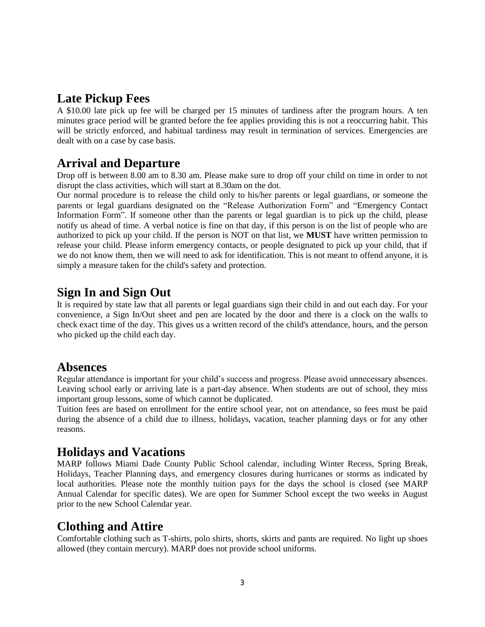## **Late Pickup Fees**

A \$10.00 late pick up fee will be charged per 15 minutes of tardiness after the program hours. A ten minutes grace period will be granted before the fee applies providing this is not a reoccurring habit. This will be strictly enforced, and habitual tardiness may result in termination of services. Emergencies are dealt with on a case by case basis.

## **Arrival and Departure**

Drop off is between 8.00 am to 8.30 am. Please make sure to drop off your child on time in order to not disrupt the class activities, which will start at 8.30am on the dot.

Our normal procedure is to release the child only to his/her parents or legal guardians, or someone the parents or legal guardians designated on the "Release Authorization Form" and "Emergency Contact Information Form". If someone other than the parents or legal guardian is to pick up the child, please notify us ahead of time. A verbal notice is fine on that day, if this person is on the list of people who are authorized to pick up your child. If the person is NOT on that list, we **MUST** have written permission to release your child. Please inform emergency contacts, or people designated to pick up your child, that if we do not know them, then we will need to ask for identification. This is not meant to offend anyone, it is simply a measure taken for the child's safety and protection.

## **Sign In and Sign Out**

It is required by state law that all parents or legal guardians sign their child in and out each day. For your convenience, a Sign In/Out sheet and pen are located by the door and there is a clock on the walls to check exact time of the day. This gives us a written record of the child's attendance, hours, and the person who picked up the child each day.

#### **Absences**

Regular attendance is important for your child's success and progress. Please avoid unnecessary absences. Leaving school early or arriving late is a part-day absence. When students are out of school, they miss important group lessons, some of which cannot be duplicated.

Tuition fees are based on enrollment for the entire school year, not on attendance, so fees must be paid during the absence of a child due to illness, holidays, vacation, teacher planning days or for any other reasons.

## **Holidays and Vacations**

MARP follows Miami Dade County Public School calendar, including Winter Recess, Spring Break, Holidays, Teacher Planning days, and emergency closures during hurricanes or storms as indicated by local authorities. Please note the monthly tuition pays for the days the school is closed (see MARP Annual Calendar for specific dates). We are open for Summer School except the two weeks in August prior to the new School Calendar year.

## **Clothing and Attire**

Comfortable clothing such as T-shirts, polo shirts, shorts, skirts and pants are required. No light up shoes allowed (they contain mercury). MARP does not provide school uniforms.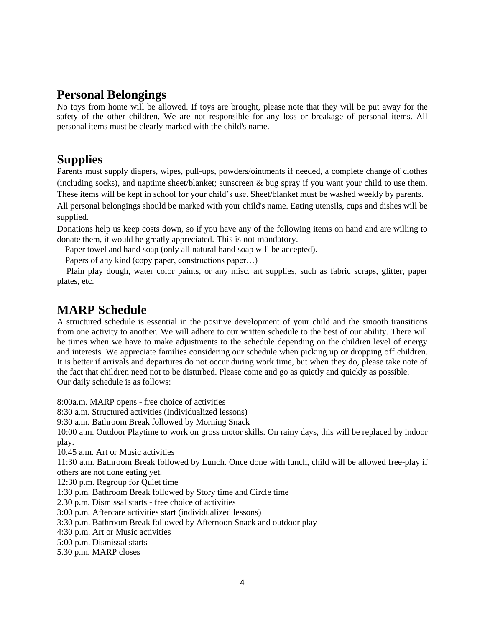## **Personal Belongings**

No toys from home will be allowed. If toys are brought, please note that they will be put away for the safety of the other children. We are not responsible for any loss or breakage of personal items. All personal items must be clearly marked with the child's name.

## **Supplies**

Parents must supply diapers, wipes, pull-ups, powders/ointments if needed, a complete change of clothes (including socks), and naptime sheet/blanket; sunscreen & bug spray if you want your child to use them. These items will be kept in school for your child's use. Sheet/blanket must be washed weekly by parents.

All personal belongings should be marked with your child's name. Eating utensils, cups and dishes will be supplied.

Donations help us keep costs down, so if you have any of the following items on hand and are willing to donate them, it would be greatly appreciated. This is not mandatory.

 $\Box$  Paper towel and hand soap (only all natural hand soap will be accepted).

 $\Box$  Papers of any kind (copy paper, constructions paper...)

Plain play dough, water color paints, or any misc. art supplies, such as fabric scraps, glitter, paper plates, etc.

## **MARP Schedule**

A structured schedule is essential in the positive development of your child and the smooth transitions from one activity to another. We will adhere to our written schedule to the best of our ability. There will be times when we have to make adjustments to the schedule depending on the children level of energy and interests. We appreciate families considering our schedule when picking up or dropping off children. It is better if arrivals and departures do not occur during work time, but when they do, please take note of the fact that children need not to be disturbed. Please come and go as quietly and quickly as possible. Our daily schedule is as follows:

8:00a.m. MARP opens - free choice of activities 8:30 a.m. Structured activities (Individualized lessons) 9:30 a.m. Bathroom Break followed by Morning Snack 10:00 a.m. Outdoor Playtime to work on gross motor skills. On rainy days, this will be replaced by indoor play. 10.45 a.m. Art or Music activities 11:30 a.m. Bathroom Break followed by Lunch. Once done with lunch, child will be allowed free-play if others are not done eating yet. 12:30 p.m. Regroup for Quiet time 1:30 p.m. Bathroom Break followed by Story time and Circle time 2.30 p.m. Dismissal starts - free choice of activities 3:00 p.m. Aftercare activities start (individualized lessons) 3:30 p.m. Bathroom Break followed by Afternoon Snack and outdoor play 4:30 p.m. Art or Music activities 5:00 p.m. Dismissal starts

5.30 p.m. MARP closes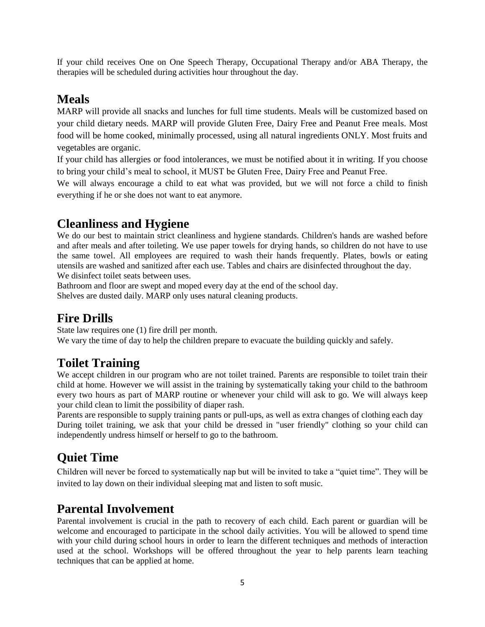If your child receives One on One Speech Therapy, Occupational Therapy and/or ABA Therapy, the therapies will be scheduled during activities hour throughout the day.

## **Meals**

MARP will provide all snacks and lunches for full time students. Meals will be customized based on your child dietary needs. MARP will provide Gluten Free, Dairy Free and Peanut Free meals. Most food will be home cooked, minimally processed, using all natural ingredients ONLY. Most fruits and vegetables are organic.

If your child has allergies or food intolerances, we must be notified about it in writing. If you choose to bring your child's meal to school, it MUST be Gluten Free, Dairy Free and Peanut Free.

We will always encourage a child to eat what was provided, but we will not force a child to finish everything if he or she does not want to eat anymore.

## **Cleanliness and Hygiene**

We do our best to maintain strict cleanliness and hygiene standards. Children's hands are washed before and after meals and after toileting. We use paper towels for drying hands, so children do not have to use the same towel. All employees are required to wash their hands frequently. Plates, bowls or eating utensils are washed and sanitized after each use. Tables and chairs are disinfected throughout the day. We disinfect toilet seats between uses.

Bathroom and floor are swept and moped every day at the end of the school day.

Shelves are dusted daily. MARP only uses natural cleaning products.

## **Fire Drills**

State law requires one (1) fire drill per month. We vary the time of day to help the children prepare to evacuate the building quickly and safely.

## **Toilet Training**

We accept children in our program who are not toilet trained. Parents are responsible to toilet train their child at home. However we will assist in the training by systematically taking your child to the bathroom every two hours as part of MARP routine or whenever your child will ask to go. We will always keep your child clean to limit the possibility of diaper rash.

Parents are responsible to supply training pants or pull-ups, as well as extra changes of clothing each day During toilet training, we ask that your child be dressed in "user friendly" clothing so your child can independently undress himself or herself to go to the bathroom.

## **Quiet Time**

Children will never be forced to systematically nap but will be invited to take a "quiet time". They will be invited to lay down on their individual sleeping mat and listen to soft music.

## **Parental Involvement**

Parental involvement is crucial in the path to recovery of each child. Each parent or guardian will be welcome and encouraged to participate in the school daily activities. You will be allowed to spend time with your child during school hours in order to learn the different techniques and methods of interaction used at the school. Workshops will be offered throughout the year to help parents learn teaching techniques that can be applied at home.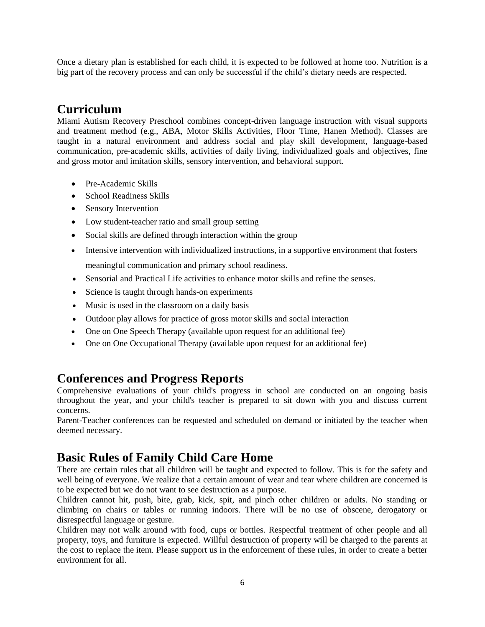Once a dietary plan is established for each child, it is expected to be followed at home too. Nutrition is a big part of the recovery process and can only be successful if the child's dietary needs are respected.

## **Curriculum**

Miami Autism Recovery Preschool combines concept-driven language instruction with visual supports and treatment method (e.g., ABA, Motor Skills Activities, Floor Time, Hanen Method). Classes are taught in a natural environment and address social and play skill development, language-based communication, pre-academic skills, activities of daily living, individualized goals and objectives, fine and gross motor and imitation skills, sensory intervention, and behavioral support.

- Pre-Academic Skills
- School Readiness Skills
- Sensory Intervention
- Low student-teacher ratio and small group setting
- Social skills are defined through interaction within the group
- Intensive intervention with individualized instructions, in a supportive environment that fosters meaningful communication and primary school readiness.
- Sensorial and Practical Life activities to enhance motor skills and refine the senses.
- Science is taught through hands-on experiments
- Music is used in the classroom on a daily basis
- Outdoor play allows for practice of gross motor skills and social interaction
- One on One Speech Therapy (available upon request for an additional fee)
- One on One Occupational Therapy (available upon request for an additional fee)

## **Conferences and Progress Reports**

Comprehensive evaluations of your child's progress in school are conducted on an ongoing basis throughout the year, and your child's teacher is prepared to sit down with you and discuss current concerns.

Parent-Teacher conferences can be requested and scheduled on demand or initiated by the teacher when deemed necessary.

## **Basic Rules of Family Child Care Home**

There are certain rules that all children will be taught and expected to follow. This is for the safety and well being of everyone. We realize that a certain amount of wear and tear where children are concerned is to be expected but we do not want to see destruction as a purpose.

Children cannot hit, push, bite, grab, kick, spit, and pinch other children or adults. No standing or climbing on chairs or tables or running indoors. There will be no use of obscene, derogatory or disrespectful language or gesture.

Children may not walk around with food, cups or bottles. Respectful treatment of other people and all property, toys, and furniture is expected. Willful destruction of property will be charged to the parents at the cost to replace the item. Please support us in the enforcement of these rules, in order to create a better environment for all.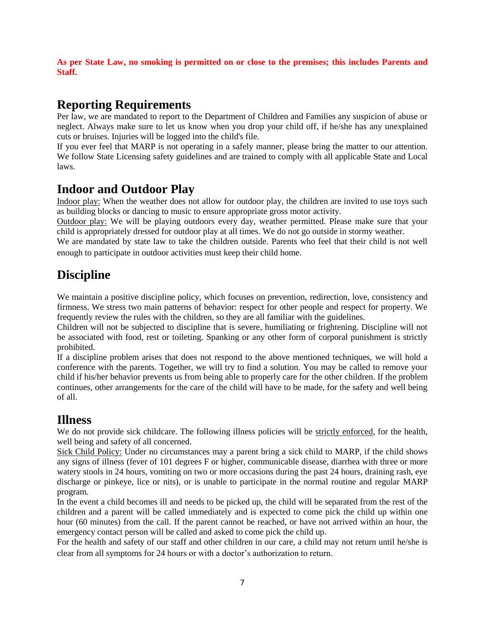**As per State Law, no smoking is permitted on or close to the premises; this includes Parents and Staff.** 

## **Reporting Requirements**

Per law, we are mandated to report to the Department of Children and Families any suspicion of abuse or neglect. Always make sure to let us know when you drop your child off, if he/she has any unexplained cuts or bruises. Injuries will be logged into the child's file.

If you ever feel that MARP is not operating in a safely manner, please bring the matter to our attention. We follow State Licensing safety guidelines and are trained to comply with all applicable State and Local laws.

## **Indoor and Outdoor Play**

Indoor play: When the weather does not allow for outdoor play, the children are invited to use toys such as building blocks or dancing to music to ensure appropriate gross motor activity.

Outdoor play: We will be playing outdoors every day, weather permitted. Please make sure that your child is appropriately dressed for outdoor play at all times. We do not go outside in stormy weather.

We are mandated by state law to take the children outside. Parents who feel that their child is not well enough to participate in outdoor activities must keep their child home.

## **Discipline**

We maintain a positive discipline policy, which focuses on prevention, redirection, love, consistency and firmness. We stress two main patterns of behavior: respect for other people and respect for property. We frequently review the rules with the children, so they are all familiar with the guidelines.

Children will not be subjected to discipline that is severe, humiliating or frightening. Discipline will not be associated with food, rest or toileting. Spanking or any other form of corporal punishment is strictly prohibited.

If a discipline problem arises that does not respond to the above mentioned techniques, we will hold a conference with the parents. Together, we will try to find a solution. You may be called to remove your child if his/her behavior prevents us from being able to properly care for the other children. If the problem continues, other arrangements for the care of the child will have to be made, for the safety and well being of all.

#### **Illness**

We do not provide sick childcare. The following illness policies will be strictly enforced, for the health, well being and safety of all concerned.

Sick Child Policy: Under no circumstances may a parent bring a sick child to MARP, if the child shows any signs of illness (fever of 101 degrees F or higher, communicable disease, diarrhea with three or more watery stools in 24 hours, vomiting on two or more occasions during the past 24 hours, draining rash, eye discharge or pinkeye, lice or nits), or is unable to participate in the normal routine and regular MARP program.

In the event a child becomes ill and needs to be picked up, the child will be separated from the rest of the children and a parent will be called immediately and is expected to come pick the child up within one hour (60 minutes) from the call. If the parent cannot be reached, or have not arrived within an hour, the emergency contact person will be called and asked to come pick the child up.

For the health and safety of our staff and other children in our care, a child may not return until he/she is clear from all symptoms for 24 hours or with a doctor's authorization to return.